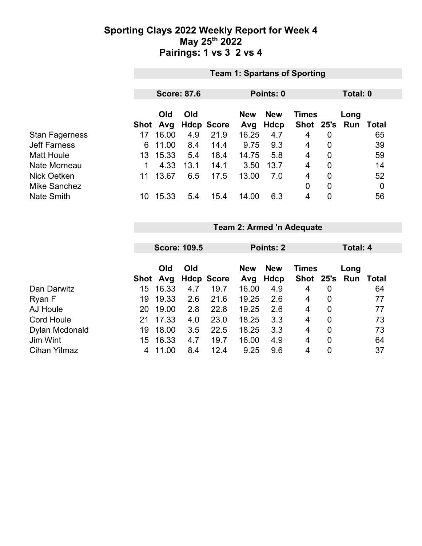## **Sporting Clays 2022 Weekly Report for Week 4 May 25th 2022 Pairings: 1 vs 3 2 vs 4**

|                       | <b>Team 1: Spartans of Sporting</b> |       |                    |                   |                                          |           |           |                |      |              |  |
|-----------------------|-------------------------------------|-------|--------------------|-------------------|------------------------------------------|-----------|-----------|----------------|------|--------------|--|
|                       |                                     |       |                    |                   |                                          |           |           |                |      |              |  |
|                       |                                     |       | <b>Score: 87.6</b> |                   |                                          | Points: 0 |           | Total: 0       |      |              |  |
|                       | Old<br>Old                          |       |                    |                   | <b>New</b><br><b>New</b><br><b>Times</b> |           |           |                | Long |              |  |
|                       | Shot                                | Avg   |                    | <b>Hdcp Score</b> | Avg                                      | Hdcp      | Shot 25's |                | Run  | <b>Total</b> |  |
| <b>Stan Fagerness</b> | 17                                  | 16.00 | 4.9                | 21.9              | 16.25                                    | 4.7       | 4         | $\mathbf 0$    |      | 65           |  |
| <b>Jeff Farness</b>   | 6                                   | 11.00 | 8.4                | 14.4              | 9.75                                     | 9.3       | 4         | $\mathbf 0$    |      | 39           |  |
| <b>Matt Houle</b>     | 13                                  | 15.33 | 5.4                | 18.4              | 14.75                                    | 5.8       | 4         | 0              |      | 59           |  |
| Nate Morneau          |                                     | 4.33  | 13.1               | 14.1              | 3.50                                     | 13.7      | 4         | $\overline{0}$ |      | 14           |  |
| Nick Oetken           | 11                                  | 13.67 | 6.5                | 17.5              | 13.00                                    | 7.0       | 4         | $\overline{0}$ |      | 52           |  |
| <b>Mike Sanchez</b>   |                                     |       |                    |                   |                                          |           | 0         | $\overline{0}$ |      | 0            |  |
| <b>Nate Smith</b>     | 10                                  | 15.33 | 5.4                | 15.4              | 14.00                                    | 6.3       | 4         | $\overline{0}$ |      | 56           |  |

#### **Team 2: Armed 'n Adequate**

|                     | <b>Score: 109.5</b> |                 |     |                   | Points: 2         |                    |              | Total: 4       |                             |    |
|---------------------|---------------------|-----------------|-----|-------------------|-------------------|--------------------|--------------|----------------|-----------------------------|----|
|                     |                     | Old<br>Shot Avg | Old | <b>Hdcp Score</b> | <b>New</b><br>Avg | <b>New</b><br>Hdcp | <b>Times</b> |                | Long<br>Shot 25's Run Total |    |
| Dan Darwitz         | 15                  | 16.33           | 4.7 | 19.7              | 16.00             | 4.9                | 4            | 0              |                             | 64 |
| Ryan F              | 19                  | 19.33           | 2.6 | 21.6              | 19.25             | 2.6                | 4            | 0              |                             | 77 |
| AJ Houle            | 20.                 | 19.00           | 2.8 | 22.8              | 19.25             | 2.6                | 4            | 0              |                             | 77 |
| <b>Cord Houle</b>   | 21                  | 17.33           | 4.0 | 23.0              | 18.25             | 3.3                | 4            | $\overline{0}$ |                             | 73 |
| Dylan Mcdonald      | 19                  | 18.00           | 3.5 | 22.5              | 18.25             | 3.3                | 4            | 0              |                             | 73 |
| Jim Wint            | 15                  | 16.33           | 4.7 | 19.7              | 16.00             | 4.9                | 4            | 0              |                             | 64 |
| <b>Cihan Yilmaz</b> | 4                   | 11.00           | 8.4 | 12.4              | 9.25              | 9.6                | 4            | $\overline{0}$ |                             | 37 |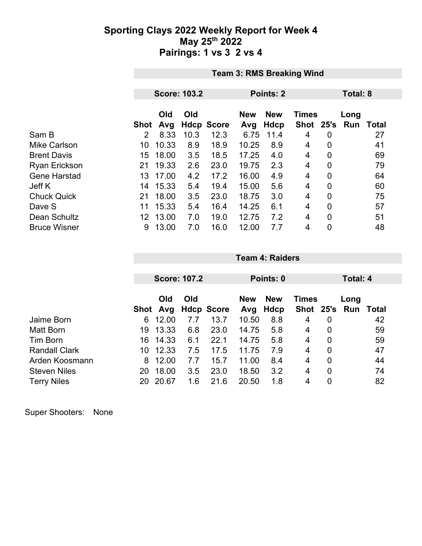## **Sporting Clays 2022 Weekly Report for Week 4 May 25th 2022 Pairings: 1 vs 3 2 vs 4**

|                      | <b>Team 3: RMS Breaking Wind</b> |            |      |                   |                   |                    |                           |                |                    |       |
|----------------------|----------------------------------|------------|------|-------------------|-------------------|--------------------|---------------------------|----------------|--------------------|-------|
|                      |                                  |            |      |                   |                   |                    |                           |                |                    |       |
|                      | <b>Score: 103.2</b>              |            |      |                   |                   | Points: 2          |                           | Total: 8       |                    |       |
|                      | <b>Shot</b>                      | Old<br>Avg | Old  | <b>Hdcp Score</b> | <b>New</b><br>Avg | <b>New</b><br>Hdcp | <b>Times</b><br>Shot 25's |                | Long<br><b>Run</b> | Total |
| Sam B                | $\overline{2}$                   | 8.33       | 10.3 | 12.3              | 6.75              | 11.4               | 4                         | 0              |                    | 27    |
| <b>Mike Carlson</b>  | 10                               | 10.33      | 8.9  | 18.9              | 10.25             | 8.9                | 4                         | 0              |                    | 41    |
| <b>Brent Davis</b>   | 15                               | 18.00      | 3.5  | 18.5              | 17.25             | 4.0                | 4                         | $\overline{0}$ |                    | 69    |
| <b>Ryan Erickson</b> | 21                               | 19.33      | 2.6  | 23.0              | 19.75             | 2.3                | 4                         | 0              |                    | 79    |
| <b>Gene Harstad</b>  | 13                               | 17.00      | 4.2  | 17.2              | 16.00             | 4.9                | 4                         | $\overline{0}$ |                    | 64    |
| Jeff K               | 14                               | 15.33      | 5.4  | 19.4              | 15.00             | 5.6                | 4                         | $\overline{0}$ |                    | 60    |
| <b>Chuck Quick</b>   | 21                               | 18.00      | 3.5  | 23.0              | 18.75             | 3.0                | 4                         | $\mathbf 0$    |                    | 75    |
| Dave S               | 11                               | 15.33      | 5.4  | 16.4              | 14.25             | 6.1                | 4                         | $\overline{0}$ |                    | 57    |
| Dean Schultz         | 12                               | 13.00      | 7.0  | 19.0              | 12.75             | 7.2                | 4                         | $\mathbf 0$    |                    | 51    |
| <b>Bruce Wisner</b>  | 9                                | 13.00      | 7.0  | 16.0              | 12.00             | 7.7                | 4                         | $\overline{0}$ |                    | 48    |

|                      |    | <b>Score: 107.2</b> |     |                   |            | Points: 0  |              |                |      | Total: 4 |  |
|----------------------|----|---------------------|-----|-------------------|------------|------------|--------------|----------------|------|----------|--|
|                      |    |                     |     |                   |            |            |              |                |      |          |  |
|                      |    | Old<br>Old          |     |                   | <b>New</b> | <b>New</b> | <b>Times</b> |                | Long |          |  |
|                      |    | Shot Avg            |     | <b>Hdcp Score</b> | Avg        | Hdcp       | Shot 25's    |                | Run  | Total    |  |
| Jaime Born           | 6  | 12.00               | 7.7 | 13.7              | 10.50      | 8.8        | 4            | 0              |      | 42       |  |
| Matt Born            | 19 | 13.33               | 6.8 | 23.0              | 14.75      | 5.8        | 4            | 0              |      | 59       |  |
| Tim Born             | 16 | 14.33               | 6.1 | 22.1              | 14.75      | 5.8        | 4            | 0              |      | 59       |  |
| <b>Randall Clark</b> | 10 | 12.33               | 7.5 | 17.5              | 11.75      | 7.9        | 4            | 0              |      | 47       |  |
| Arden Koosmann       | 8  | 12.00               | 7.7 | 15.7              | 11.00      | 8.4        | 4            | $\overline{0}$ |      | 44       |  |
| <b>Steven Niles</b>  | 20 | 18.00               | 3.5 | 23.0              | 18.50      | 3.2        | 4            | $\overline{0}$ |      | 74       |  |
| <b>Terry Niles</b>   | 20 | 20.67               | 1.6 | 21.6              | 20.50      | 1.8        | 4            | 0              |      | 82       |  |

**Team 4: Raiders**

Super Shooters: None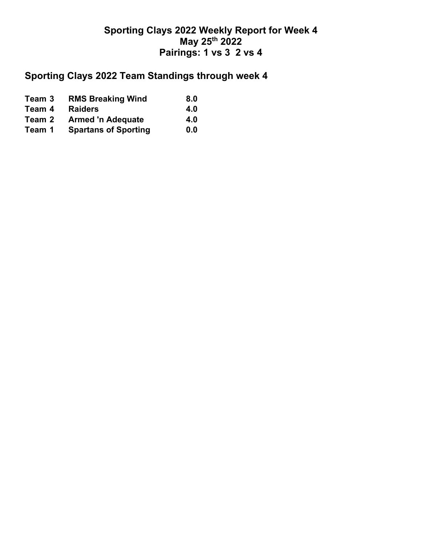## **Sporting Clays 2022 Weekly Report for Week 4 May 25th 2022 Pairings: 1 vs 3 2 vs 4**

## **Sporting Clays 2022 Team Standings through week 4**

| Team 3 | <b>RMS Breaking Wind</b>    | 8.0 |
|--------|-----------------------------|-----|
| Team 4 | <b>Raiders</b>              | 4.0 |
| Team 2 | <b>Armed 'n Adequate</b>    | 4.0 |
| Team 1 | <b>Spartans of Sporting</b> | 0.0 |